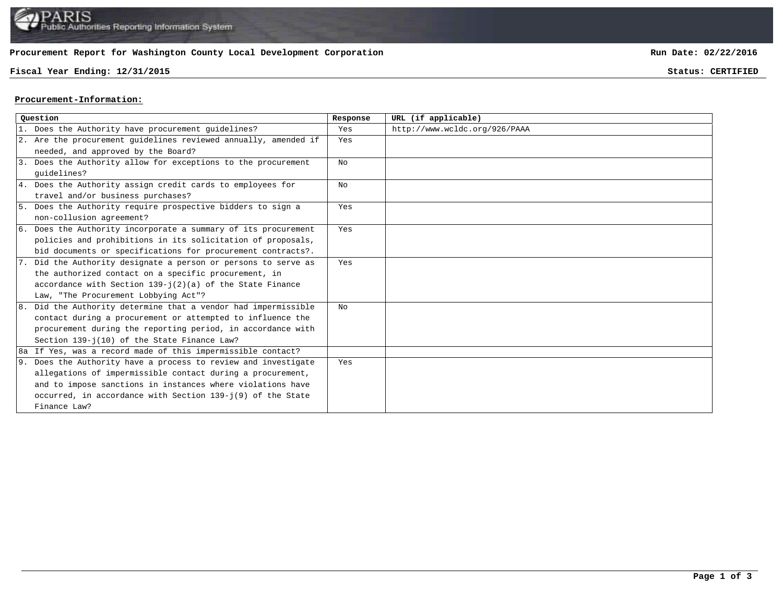# **Procurement Report for Washington County Local Development Corporation**

# **Fiscal Year Ending: 12/31/2015 Status: CERTIFIED**

**Run Date: 02/22/2016**

## **Procurement-Information:**

| Ouestion |                                                                 | Response       | URL (if applicable)           |
|----------|-----------------------------------------------------------------|----------------|-------------------------------|
|          | 1. Does the Authority have procurement guidelines?              | Yes            | http://www.wcldc.org/926/PAAA |
|          | 2. Are the procurement guidelines reviewed annually, amended if | Yes            |                               |
|          | needed, and approved by the Board?                              |                |                               |
|          | 3. Does the Authority allow for exceptions to the procurement   | No             |                               |
|          | quidelines?                                                     |                |                               |
|          | 4. Does the Authority assign credit cards to employees for      | N <sub>O</sub> |                               |
|          | travel and/or business purchases?                               |                |                               |
|          | 5. Does the Authority require prospective bidders to sign a     | Yes            |                               |
|          | non-collusion agreement?                                        |                |                               |
|          | 6. Does the Authority incorporate a summary of its procurement  | Yes            |                               |
|          | policies and prohibitions in its solicitation of proposals,     |                |                               |
|          | bid documents or specifications for procurement contracts?.     |                |                               |
|          | 7. Did the Authority designate a person or persons to serve as  | Yes            |                               |
|          | the authorized contact on a specific procurement, in            |                |                               |
|          | accordance with Section $139 - i(2)(a)$ of the State Finance    |                |                               |
|          | Law, "The Procurement Lobbying Act"?                            |                |                               |
|          | 8. Did the Authority determine that a vendor had impermissible  | NΩ             |                               |
|          | contact during a procurement or attempted to influence the      |                |                               |
|          | procurement during the reporting period, in accordance with     |                |                               |
|          | Section 139-j(10) of the State Finance Law?                     |                |                               |
|          | 8a If Yes, was a record made of this impermissible contact?     |                |                               |
|          | 9. Does the Authority have a process to review and investigate  | Yes            |                               |
|          | allegations of impermissible contact during a procurement,      |                |                               |
|          | and to impose sanctions in instances where violations have      |                |                               |
|          | occurred, in accordance with Section 139-j(9) of the State      |                |                               |
|          | Finance Law?                                                    |                |                               |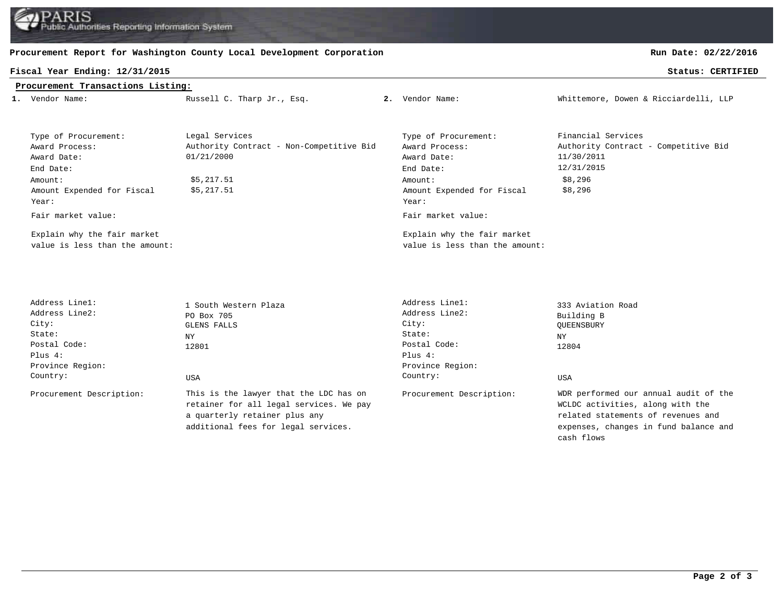Authorities Reporting Information System

## **Procurement Report for Washington County Local Development Corporation**

### **Procurement Transactions Listing:**

| Fiscal Year Ending: 12/31/2015<br>Status: CERTIFIED |                            |                 |                                       |  |  |  |  |  |  |  |
|-----------------------------------------------------|----------------------------|-----------------|---------------------------------------|--|--|--|--|--|--|--|
| Procurement Transactions Listing:                   |                            |                 |                                       |  |  |  |  |  |  |  |
| 1. Vendor Name:                                     | Russell C. Tharp Jr., Esq. | 2. Vendor Name: | Whittemore, Dowen & Ricciardelli, LLP |  |  |  |  |  |  |  |

| Type of Procurement:           | Legal Services                           | Type of Procurement:           | Financial Services                   |  |
|--------------------------------|------------------------------------------|--------------------------------|--------------------------------------|--|
| Award Process:                 | Authority Contract - Non-Competitive Bid | Award Process:                 | Authority Contract - Competitive Bid |  |
| Award Date:                    | 01/21/2000                               | Award Date:                    | 11/30/2011                           |  |
| End Date:                      |                                          | End Date:                      | 12/31/2015                           |  |
| Amount:                        | \$5,217.51                               | Amount:                        | \$8,296                              |  |
| Amount Expended for Fiscal     | \$5,217.51                               | Amount Expended for Fiscal     | \$8,296                              |  |
| Year:                          |                                          | Year:                          |                                      |  |
| Fair market value:             |                                          | Fair market value:             |                                      |  |
| Explain why the fair market    |                                          | Explain why the fair market    |                                      |  |
| value is less than the amount: |                                          | value is less than the amount: |                                      |  |

Plus 4: Plus 4: Province Region: Province Region:

Procurement Description: This is the lawyer that the LDC has on Procurement Description: retainer for all legal services. We pay a quarterly retainer plus any additional fees for legal services.

Address Line1: 1 South Western Plaza<br>Address Line2: 1 200 Box 705<br>Address Line2: 2 Building R Address Line2: PO Box 705 Address Line2: Building B City: GLENS FALLS City: QUEENSBURY State: NY NY NY State: NY NY NY NASA ENERGY STATE: NY NY NY NY NASA ENERGY NY NY NY NY NY NY NY NY NY NY NY NY Postal Code: 12801 Postal Code: 12804 Country: USA Country: USA

WDR performed our annual audit of the WCLDC activities, along with the related statements of revenues and expenses, changes in fund balance and cash flows